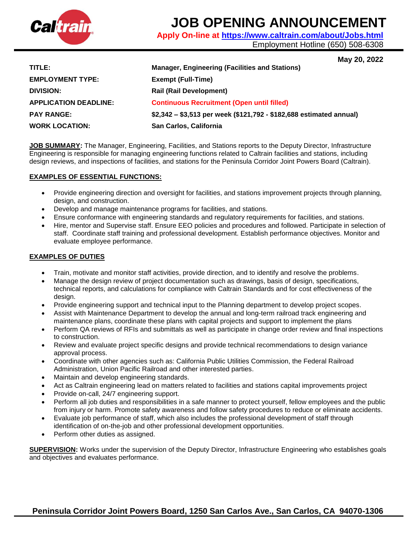

# **JOB OPENING ANNOUNCEMENT**

**Apply On-line at<https://www.caltrain.com/about/Jobs.html>**

Employment Hotline (650) 508-6308

# **May 20, 2022**

| TITLE:                       | <b>Manager, Engineering (Facilities and Stations)</b>               |
|------------------------------|---------------------------------------------------------------------|
| <b>EMPLOYMENT TYPE:</b>      | <b>Exempt (Full-Time)</b>                                           |
| DIVISION:                    | <b>Rail (Rail Development)</b>                                      |
| <b>APPLICATION DEADLINE:</b> | <b>Continuous Recruitment (Open until filled)</b>                   |
| <b>PAY RANGE:</b>            | \$2,342 - \$3,513 per week (\$121,792 - \$182,688 estimated annual) |
| <b>WORK LOCATION:</b>        | San Carlos, California                                              |

**JOB SUMMARY:** The Manager, Engineering, Facilities, and Stations reports to the Deputy Director, Infrastructure Engineering is responsible for managing engineering functions related to Caltrain facilities and stations, including design reviews, and inspections of facilities, and stations for the Peninsula Corridor Joint Powers Board (Caltrain).

## **EXAMPLES OF ESSENTIAL FUNCTIONS:**

- Provide engineering direction and oversight for facilities, and stations improvement projects through planning, design, and construction.
- Develop and manage maintenance programs for facilities, and stations.
- Ensure conformance with engineering standards and regulatory requirements for facilities, and stations.
- Hire, mentor and Supervise staff. Ensure EEO policies and procedures and followed. Participate in selection of staff. Coordinate staff training and professional development. Establish performance objectives. Monitor and evaluate employee performance.

# **EXAMPLES OF DUTIES**

- Train, motivate and monitor staff activities, provide direction, and to identify and resolve the problems.
- Manage the design review of project documentation such as drawings, basis of design, specifications, technical reports, and calculations for compliance with Caltrain Standards and for cost effectiveness of the design.
- Provide engineering support and technical input to the Planning department to develop project scopes.
- Assist with Maintenance Department to develop the annual and long-term railroad track engineering and maintenance plans, coordinate these plans with capital projects and support to implement the plans
- Perform QA reviews of RFIs and submittals as well as participate in change order review and final inspections to construction.
- Review and evaluate project specific designs and provide technical recommendations to design variance approval process.
- Coordinate with other agencies such as: California Public Utilities Commission, the Federal Railroad Administration, Union Pacific Railroad and other interested parties.
- Maintain and develop engineering standards.
- Act as Caltrain engineering lead on matters related to facilities and stations capital improvements project
- Provide on-call, 24/7 engineering support.
- Perform all job duties and responsibilities in a safe manner to protect yourself, fellow employees and the public from injury or harm. Promote safety awareness and follow safety procedures to reduce or eliminate accidents.
- Evaluate job performance of staff, which also includes the professional development of staff through identification of on-the-job and other professional development opportunities.
- Perform other duties as assigned.

**SUPERVISION:** Works under the supervision of the Deputy Director, Infrastructure Engineering who establishes goals and objectives and evaluates performance.